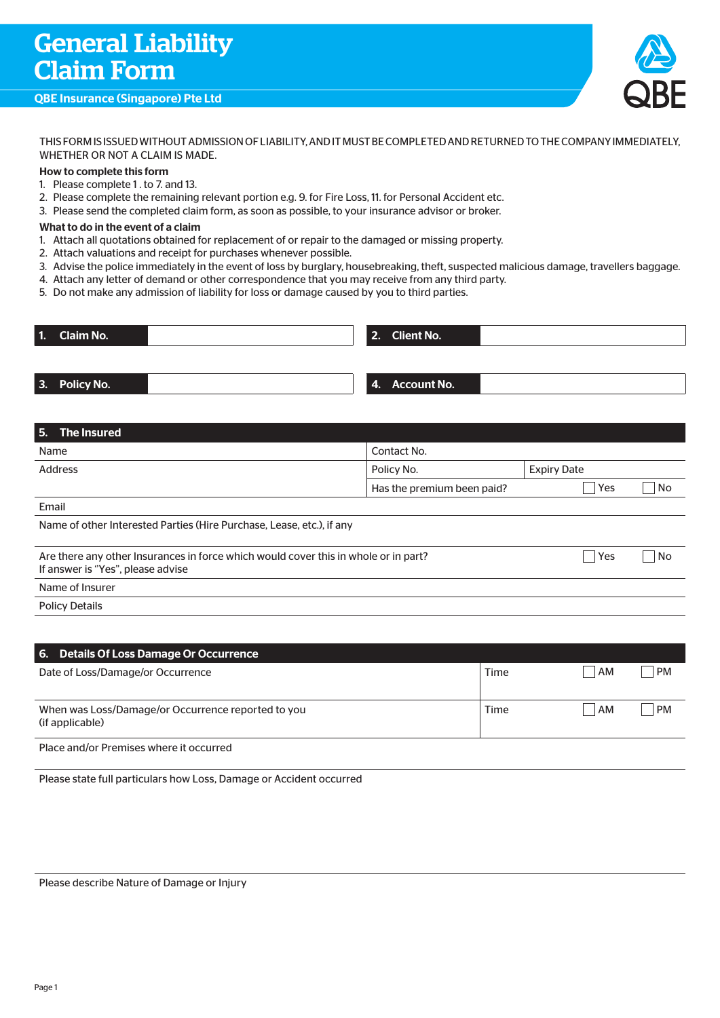# QBE Insurance (Singapore) Pte Ltd



THIS FORM IS ISSUED WITHOUT ADMISSION OF LIABILITY, AND IT MUST BE COMPLETED AND RETURNED TO THE COMPANY IMMEDIATELY, WHETHER OR NOT A CLAIM IS MADE.

### How to complete this form

- 1. Please complete 1 . to 7. and 13.
- 2. Please complete the remaining relevant portion e.g. 9. for Fire Loss, 11. for Personal Accident etc.
- 3. Please send the completed claim form, as soon as possible, to your insurance advisor or broker.

#### What to do in the event of a claim

- 1. Attach all quotations obtained for replacement of or repair to the damaged or missing property.
- 2. Attach valuations and receipt for purchases whenever possible.
- 3. Advise the police immediately in the event of loss by burglary, housebreaking, theft, suspected malicious damage, travellers baggage.
- 4. Attach any letter of demand or other correspondence that you may receive from any third party.
- 5. Do not make any admission of liability for loss or damage caused by you to third parties.

| 1. Claim No.  |  | 2. Client No.  |  |
|---------------|--|----------------|--|
|               |  |                |  |
| 3. Policy No. |  | 4. Account No. |  |

| 5. The Insured                                                                                                                  |                            |                    |    |  |  |
|---------------------------------------------------------------------------------------------------------------------------------|----------------------------|--------------------|----|--|--|
| Name                                                                                                                            | Contact No.                |                    |    |  |  |
| <b>Address</b>                                                                                                                  | Policy No.                 | <b>Expiry Date</b> |    |  |  |
|                                                                                                                                 | Has the premium been paid? | Yes                | No |  |  |
| Email                                                                                                                           |                            |                    |    |  |  |
| Name of other Interested Parties (Hire Purchase, Lease, etc.), if any                                                           |                            |                    |    |  |  |
| Are there any other Insurances in force which would cover this in whole or in part?<br>Yes<br>If answer is "Yes", please advise |                            |                    |    |  |  |
| Name of Insurer                                                                                                                 |                            |                    |    |  |  |
| <b>Policy Details</b>                                                                                                           |                            |                    |    |  |  |
|                                                                                                                                 |                            |                    |    |  |  |

| 6. Details Of Loss Damage Or Occurrence                               |      |    |           |
|-----------------------------------------------------------------------|------|----|-----------|
| Date of Loss/Damage/or Occurrence                                     | Time | AM | <b>PM</b> |
| When was Loss/Damage/or Occurrence reported to you<br>(if applicable) | Time | AM | <b>PM</b> |
| Place and/or Premises where it occurred                               |      |    |           |

Please state full particulars how Loss, Damage or Accident occurred

Please describe Nature of Damage or Injury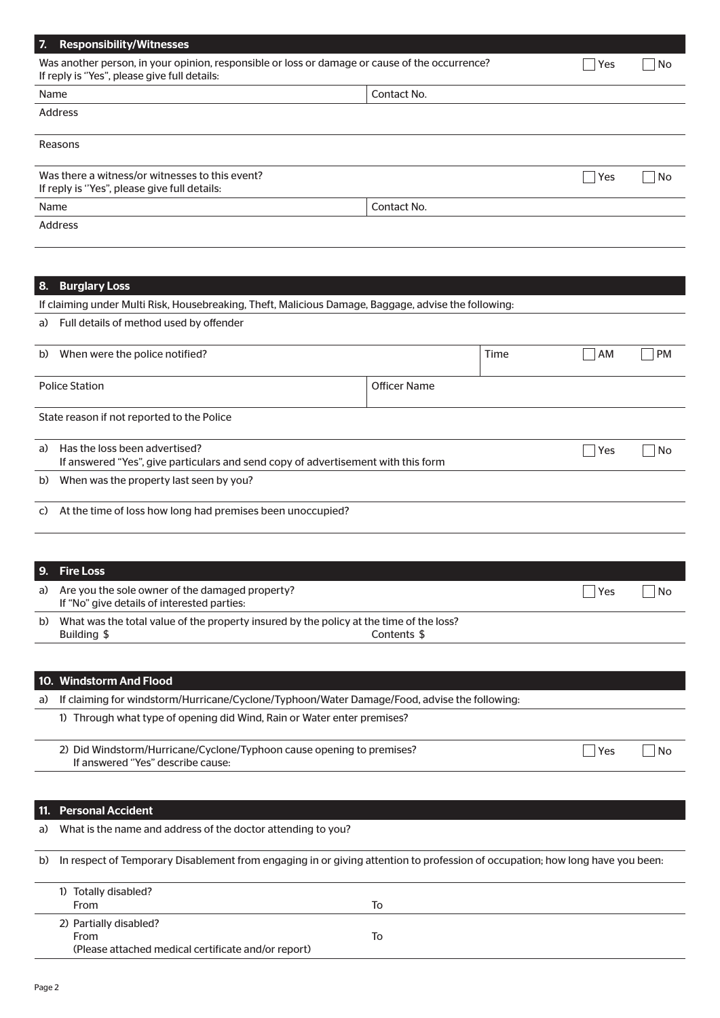| 7.                                                                                              | <b>Responsibility/Witnesses</b>                                                                                                                |  |                     |      |     |           |
|-------------------------------------------------------------------------------------------------|------------------------------------------------------------------------------------------------------------------------------------------------|--|---------------------|------|-----|-----------|
|                                                                                                 | Was another person, in your opinion, responsible or loss or damage or cause of the occurrence?<br>If reply is "Yes", please give full details: |  |                     |      | Yes | No        |
| Contact No.<br>Name                                                                             |                                                                                                                                                |  |                     |      |     |           |
|                                                                                                 | <b>Address</b>                                                                                                                                 |  |                     |      |     |           |
|                                                                                                 | Reasons                                                                                                                                        |  |                     |      |     |           |
| Was there a witness/or witnesses to this event?<br>If reply is "Yes", please give full details: |                                                                                                                                                |  |                     |      |     | No        |
| Contact No.<br>Name                                                                             |                                                                                                                                                |  |                     |      |     |           |
|                                                                                                 | <b>Address</b>                                                                                                                                 |  |                     |      |     |           |
|                                                                                                 |                                                                                                                                                |  |                     |      |     |           |
| 8.                                                                                              | <b>Burglary Loss</b>                                                                                                                           |  |                     |      |     |           |
|                                                                                                 | If claiming under Multi Risk, Housebreaking, Theft, Malicious Damage, Baggage, advise the following:                                           |  |                     |      |     |           |
| a)                                                                                              | Full details of method used by offender                                                                                                        |  |                     |      |     |           |
| b)                                                                                              | When were the police notified?                                                                                                                 |  |                     | Time | AM  | <b>PM</b> |
|                                                                                                 | <b>Police Station</b>                                                                                                                          |  | <b>Officer Name</b> |      |     |           |
|                                                                                                 | State reason if not reported to the Police                                                                                                     |  |                     |      |     |           |
| a)                                                                                              | Has the loss been advertised?<br>If answered "Yes", give particulars and send copy of advertisement with this form                             |  |                     | Yes  | No  |           |
| b)                                                                                              | When was the property last seen by you?                                                                                                        |  |                     |      |     |           |
| C)                                                                                              | At the time of loss how long had premises been unoccupied?                                                                                     |  |                     |      |     |           |
|                                                                                                 |                                                                                                                                                |  |                     |      |     |           |
| 9.                                                                                              | <b>Fire Loss</b>                                                                                                                               |  |                     |      |     |           |
| a)                                                                                              | Are you the sole owner of the damaged property?<br>Yes<br>If "No" give details of interested parties:                                          |  |                     |      |     | No        |
| b)                                                                                              | What was the total value of the property insured by the policy at the time of the loss?<br>Building \$<br>Contents \$                          |  |                     |      |     |           |
|                                                                                                 |                                                                                                                                                |  |                     |      |     |           |
|                                                                                                 | 10. Windstorm And Flood                                                                                                                        |  |                     |      |     |           |
| a)                                                                                              | If claiming for windstorm/Hurricane/Cyclone/Typhoon/Water Damage/Food, advise the following:                                                   |  |                     |      |     |           |
|                                                                                                 | 1) Through what type of opening did Wind, Rain or Water enter premises?                                                                        |  |                     |      |     |           |
|                                                                                                 | 2) Did Windstorm/Hurricane/Cyclone/Typhoon cause opening to premises?<br>If answered "Yes" describe cause:                                     |  |                     |      | Yes | No        |
|                                                                                                 |                                                                                                                                                |  |                     |      |     |           |
| 11.                                                                                             | <b>Personal Accident</b>                                                                                                                       |  |                     |      |     |           |
| a)                                                                                              | What is the name and address of the doctor attending to you?                                                                                   |  |                     |      |     |           |
| b)                                                                                              | In respect of Temporary Disablement from engaging in or giving attention to profession of occupation; how long have you been:                  |  |                     |      |     |           |
|                                                                                                 | 1) Totally disabled?<br>From<br>To                                                                                                             |  |                     |      |     |           |
|                                                                                                 | 2) Partially disabled?                                                                                                                         |  |                     |      |     |           |

From To

(Please attached medical certificate and/or report)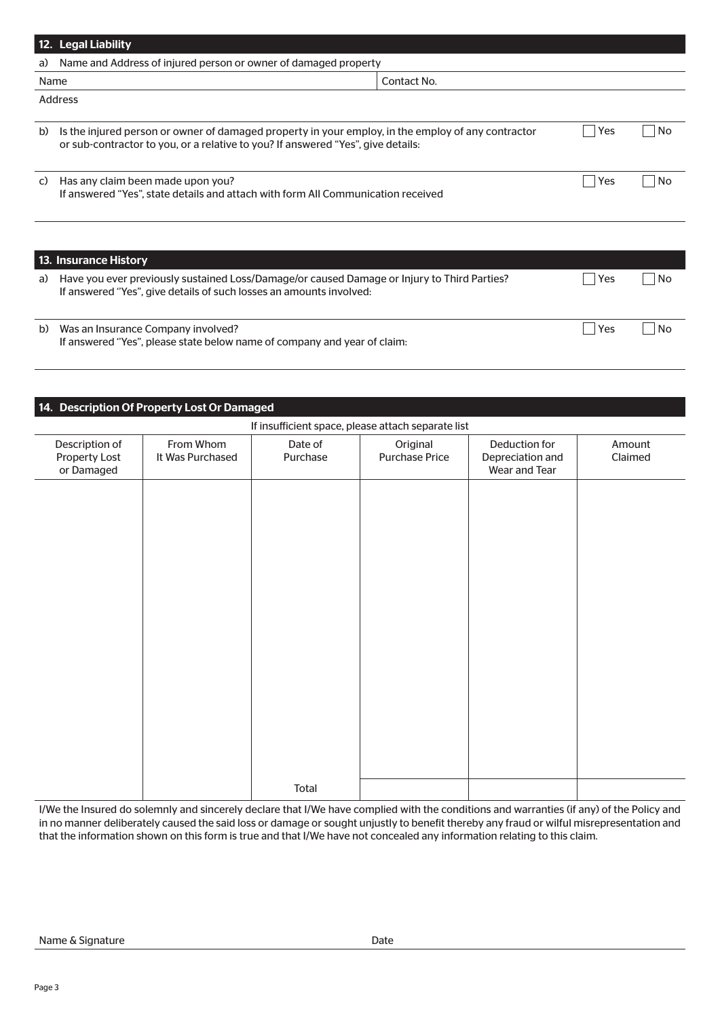|    | 12. Legal Liability                                                                                                                                                                    |             |     |    |  |  |
|----|----------------------------------------------------------------------------------------------------------------------------------------------------------------------------------------|-------------|-----|----|--|--|
| a) | Name and Address of injured person or owner of damaged property                                                                                                                        |             |     |    |  |  |
|    | Name                                                                                                                                                                                   | Contact No. |     |    |  |  |
|    | <b>Address</b>                                                                                                                                                                         |             |     |    |  |  |
| b) | Is the injured person or owner of damaged property in your employ, in the employ of any contractor<br>or sub-contractor to you, or a relative to you? If answered "Yes", give details: |             | Yes | No |  |  |
| C) | Has any claim been made upon you?<br>If answered "Yes", state details and attach with form All Communication received                                                                  |             | Yes | No |  |  |
|    |                                                                                                                                                                                        |             |     |    |  |  |
|    | 13. Insurance History                                                                                                                                                                  |             |     |    |  |  |
| a) | Have you ever previously sustained Loss/Damage/or caused Damage or Injury to Third Parties?<br>If answered "Yes", give details of such losses an amounts involved:                     |             | Yes | No |  |  |
| b) | Was an Insurance Company involved?                                                                                                                                                     |             | Yes | No |  |  |

If answered ''Yes", please state below name of company and year of claim:

# 14. Description Of Property Lost Or Damaged

# If insufficient space, please attach separate list

| ii iiisumcient space, piease attach separate iist |                               |                     |                                   |                                                    |                   |
|---------------------------------------------------|-------------------------------|---------------------|-----------------------------------|----------------------------------------------------|-------------------|
| Description of<br>Property Lost<br>or Damaged     | From Whom<br>It Was Purchased | Date of<br>Purchase | Original<br><b>Purchase Price</b> | Deduction for<br>Depreciation and<br>Wear and Tear | Amount<br>Claimed |
|                                                   |                               |                     |                                   |                                                    |                   |
|                                                   |                               |                     |                                   |                                                    |                   |
|                                                   |                               |                     |                                   |                                                    |                   |
|                                                   |                               |                     |                                   |                                                    |                   |
|                                                   |                               |                     |                                   |                                                    |                   |
|                                                   |                               |                     |                                   |                                                    |                   |
|                                                   |                               |                     |                                   |                                                    |                   |
|                                                   |                               | Total               |                                   |                                                    |                   |

I/We the Insured do solemnly and sincerely declare that I/We have complied with the conditions and warranties (if any) of the Policy and in no manner deliberately caused the said loss or damage or sought unjustly to benefit thereby any fraud or wilful misrepresentation and that the information shown on this form is true and that I/We have not concealed any information relating to this claim.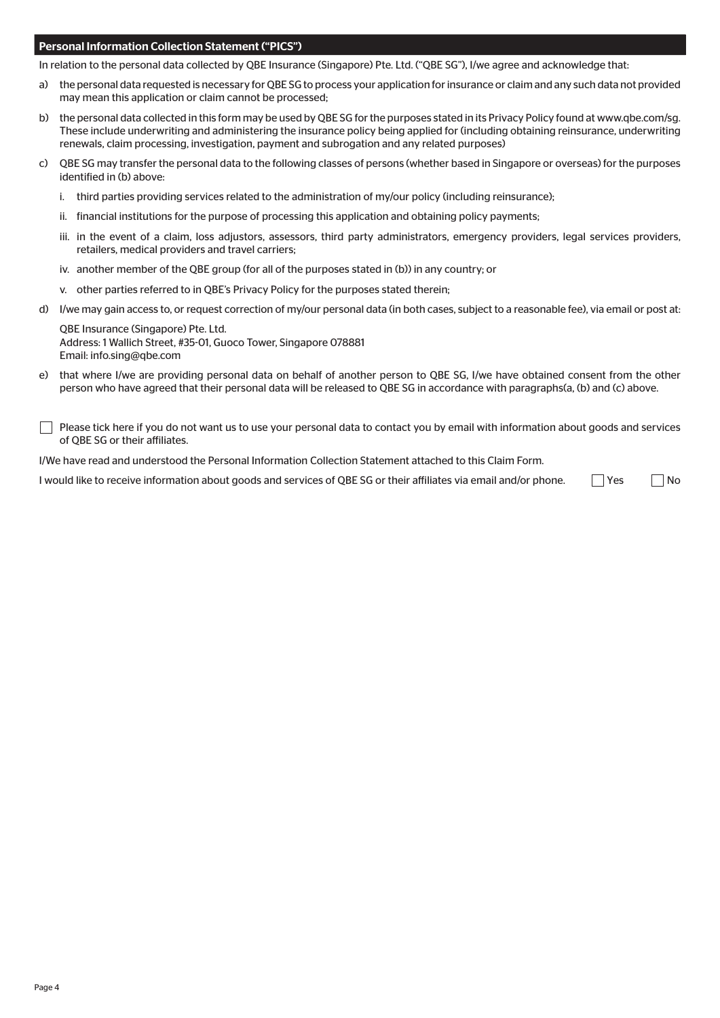#### Personal Information Collection Statement ("PICS")

In relation to the personal data collected by QBE Insurance (Singapore) Pte. Ltd. ("QBE SG"), I/we agree and acknowledge that:

- a) the personal data requested is necessary for QBE SG to process your application for insurance or claim and any such data not provided may mean this application or claim cannot be processed;
- b) the personal data collected in this form may be used by QBE SG for the purposes stated in its Privacy Policy found at www.qbe.com/sq. These include underwriting and administering the insurance policy being applied for (including obtaining reinsurance, underwriting renewals, claim processing, investigation, payment and subrogation and any related purposes)
- c) QBE SG may transfer the personal data to the following classes of persons (whether based in Singapore or overseas) for the purposes identified in (b) above:
	- i. third parties providing services related to the administration of my/our policy (including reinsurance);
	- ii. financial institutions for the purpose of processing this application and obtaining policy payments;
	- iii. in the event of a claim, loss adjustors, assessors, third party administrators, emergency providers, legal services providers, retailers, medical providers and travel carriers;
	- iv. another member of the QBE group (for all of the purposes stated in (b)) in any country; or
	- v. other parties referred to in QBE's Privacy Policy for the purposes stated therein;
- d) I/we may gain access to, or request correction of my/our personal data (in both cases, subject to a reasonable fee), via email or post at:

QBE Insurance (Singapore) Pte. Ltd. Address: 1 Wallich Street, #35-01, Guoco Tower, Singapore 078881 Email: info.sing@qbe.com

e) that where I/we are providing personal data on behalf of another person to QBE SG, I/we have obtained consent from the other person who have agreed that their personal data will be released to QBE SG in accordance with paragraphs(a, (b) and (c) above.

Please tick here if you do not want us to use your personal data to contact you by email with information about goods and services of QBE SG or their affiliates.

I/We have read and understood the Personal Information Collection Statement attached to this Claim Form.

I would like to receive information about goods and services of QBE SG or their affiliates via email and/or phone.  $\Box$  Yes  $\Box$  No